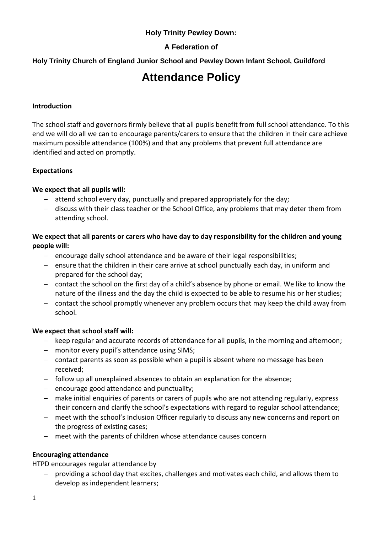#### **Holy Trinity Pewley Down:**

### **A Federation of**

### **Holy Trinity Church of England Junior School and Pewley Down Infant School, Guildford**

# **Attendance Policy**

#### **Introduction**

The school staff and governors firmly believe that all pupils benefit from full school attendance. To this end we will do all we can to encourage parents/carers to ensure that the children in their care achieve maximum possible attendance (100%) and that any problems that prevent full attendance are identified and acted on promptly.

#### **Expectations**

#### **We expect that all pupils will:**

- attend school every day, punctually and prepared appropriately for the day;
- discuss with their class teacher or the School Office, any problems that may deter them from attending school.

#### **We expect that all parents or carers who have day to day responsibility for the children and young people will:**

- $-$  encourage daily school attendance and be aware of their legal responsibilities;
- $-$  ensure that the children in their care arrive at school punctually each day, in uniform and prepared for the school day;
- contact the school on the first day of a child's absence by phone or email. We like to know the nature of the illness and the day the child is expected to be able to resume his or her studies;
- contact the school promptly whenever any problem occurs that may keep the child away from school.

#### **We expect that school staff will:**

- $-$  keep regular and accurate records of attendance for all pupils, in the morning and afternoon;
- monitor every pupil's attendance using SIMS;
- contact parents as soon as possible when a pupil is absent where no message has been received;
- follow up all unexplained absences to obtain an explanation for the absence;
- $-$  encourage good attendance and punctuality;
- make initial enquiries of parents or carers of pupils who are not attending regularly, express their concern and clarify the school's expectations with regard to regular school attendance;
- meet with the school's Inclusion Officer regularly to discuss any new concerns and report on the progress of existing cases;
- meet with the parents of children whose attendance causes concern

#### **Encouraging attendance**

HTPD encourages regular attendance by

 providing a school day that excites, challenges and motivates each child, and allows them to develop as independent learners;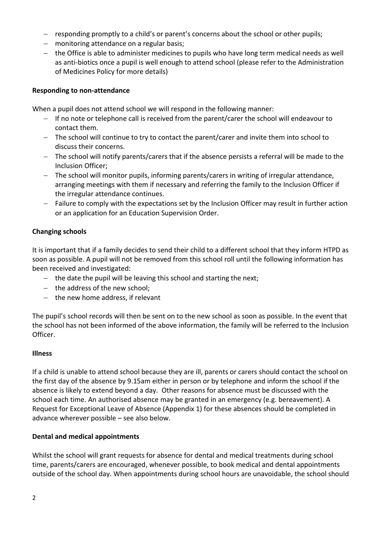- responding promptly to a child's or parent's concerns about the school or other pupils;
- monitoring attendance on a regular basis;
- the Office is able to administer medicines to pupils who have long term medical needs as well as anti-biotics once a pupil is well enough to attend school (please refer to the Administration of Medicines Policy for more details)

#### **Responding to non-attendance**

When a pupil does not attend school we will respond in the following manner:

- If no note or telephone call is received from the parent/carer the school will endeavour to contact them.
- The school will continue to try to contact the parent/carer and invite them into school to discuss their concerns.
- The school will notify parents/carers that if the absence persists a referral will be made to the Inclusion Officer;
- The school will monitor pupils, informing parents/carers in writing of irregular attendance, arranging meetings with them if necessary and referring the family to the Inclusion Officer if the irregular attendance continues.
- Failure to comply with the expectations set by the Inclusion Officer may result in further action or an application for an Education Supervision Order.

#### **Changing schools**

It is important that if a family decides to send their child to a different school that they inform HTPD as soon as possible. A pupil will not be removed from this school roll until the following information has been received and investigated:

- $-$  the date the pupil will be leaving this school and starting the next;
- $-$  the address of the new school;
- $-$  the new home address, if relevant

The pupil's school records will then be sent on to the new school as soon as possible. In the event that the school has not been informed of the above information, the family will be referred to the Inclusion Officer.

#### **Illness**

If a child is unable to attend school because they are ill, parents or carers should contact the school on the first day of the absence by 9.15am either in person or by telephone and inform the school if the absence is likely to extend beyond a day. Other reasons for absence must be discussed with the school each time. An authorised absence may be granted in an emergency (e.g. bereavement). A Request for Exceptional Leave of Absence (Appendix 1) for these absences should be completed in advance wherever possible – see also below.

#### **Dental and medical appointments**

Whilst the school will grant requests for absence for dental and medical treatments during school time, parents/carers are encouraged, whenever possible, to book medical and dental appointments outside of the school day. When appointments during school hours are unavoidable, the school should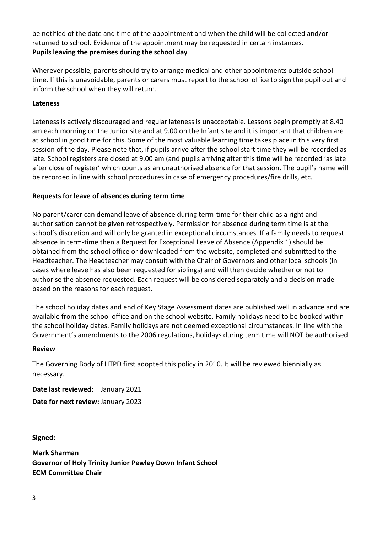be notified of the date and time of the appointment and when the child will be collected and/or returned to school. Evidence of the appointment may be requested in certain instances. **Pupils leaving the premises during the school day**

Wherever possible, parents should try to arrange medical and other appointments outside school time. If this is unavoidable, parents or carers must report to the school office to sign the pupil out and inform the school when they will return.

#### **Lateness**

Lateness is actively discouraged and regular lateness is unacceptable. Lessons begin promptly at 8.40 am each morning on the Junior site and at 9.00 on the Infant site and it is important that children are at school in good time for this. Some of the most valuable learning time takes place in this very first session of the day. Please note that, if pupils arrive after the school start time they will be recorded as late. School registers are closed at 9.00 am (and pupils arriving after this time will be recorded 'as late after close of register' which counts as an unauthorised absence for that session. The pupil's name will be recorded in line with school procedures in case of emergency procedures/fire drills, etc.

#### **Requests for leave of absences during term time**

No parent/carer can demand leave of absence during term-time for their child as a right and authorisation cannot be given retrospectively. Permission for absence during term time is at the school's discretion and will only be granted in exceptional circumstances. If a family needs to request absence in term-time then a Request for Exceptional Leave of Absence (Appendix 1) should be obtained from the school office or downloaded from the website, completed and submitted to the Headteacher. The Headteacher may consult with the Chair of Governors and other local schools (in cases where leave has also been requested for siblings) and will then decide whether or not to authorise the absence requested. Each request will be considered separately and a decision made based on the reasons for each request.

The school holiday dates and end of Key Stage Assessment dates are published well in advance and are available from the school office and on the school website. Family holidays need to be booked within the school holiday dates. Family holidays are not deemed exceptional circumstances. In line with the Government's amendments to the 2006 regulations, holidays during term time will NOT be authorised

#### **Review**

The Governing Body of HTPD first adopted this policy in 2010. It will be reviewed biennially as necessary.

**Date last reviewed:** January 2021 **Date for next review:** January 2023

**Signed:**

**Mark Sharman Governor of Holy Trinity Junior Pewley Down Infant School ECM Committee Chair**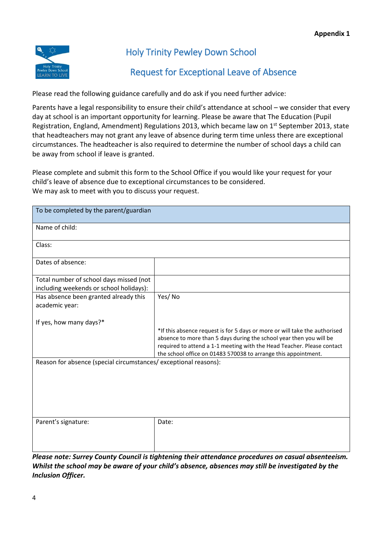

## Holy Trinity Pewley Down School

## Request for Exceptional Leave of Absence

Please read the following guidance carefully and do ask if you need further advice:

Parents have a legal responsibility to ensure their child's attendance at school – we consider that every day at school is an important opportunity for learning. Please be aware that The Education (Pupil Registration, England, Amendment) Regulations 2013, which became law on 1<sup>st</sup> September 2013, state that headteachers may not grant any leave of absence during term time unless there are exceptional circumstances. The headteacher is also required to determine the number of school days a child can be away from school if leave is granted.

Please complete and submit this form to the School Office if you would like your request for your child's leave of absence due to exceptional circumstances to be considered. We may ask to meet with you to discuss your request.

| To be completed by the parent/guardian                                             |                                                                                                                                                                                                                                                                                               |
|------------------------------------------------------------------------------------|-----------------------------------------------------------------------------------------------------------------------------------------------------------------------------------------------------------------------------------------------------------------------------------------------|
| Name of child:                                                                     |                                                                                                                                                                                                                                                                                               |
| Class:                                                                             |                                                                                                                                                                                                                                                                                               |
| Dates of absence:                                                                  |                                                                                                                                                                                                                                                                                               |
| Total number of school days missed (not<br>including weekends or school holidays): |                                                                                                                                                                                                                                                                                               |
| Has absence been granted already this<br>academic year:                            | Yes/No                                                                                                                                                                                                                                                                                        |
| If yes, how many days?*                                                            | *If this absence request is for 5 days or more or will take the authorised<br>absence to more than 5 days during the school year then you will be<br>required to attend a 1-1 meeting with the Head Teacher. Please contact<br>the school office on 01483 570038 to arrange this appointment. |
| Reason for absence (special circumstances/exceptional reasons):                    |                                                                                                                                                                                                                                                                                               |
| Parent's signature:                                                                | Date:<br>Dlanca nota: Surray County Council is tightaning thair attandance procedures on casual absenteeism                                                                                                                                                                                   |

*Please note: Surrey County Council is tightening their attendance procedures on casual absenteeism. Whilst the school may be aware of your child's absence, absences may still be investigated by the Inclusion Officer.*